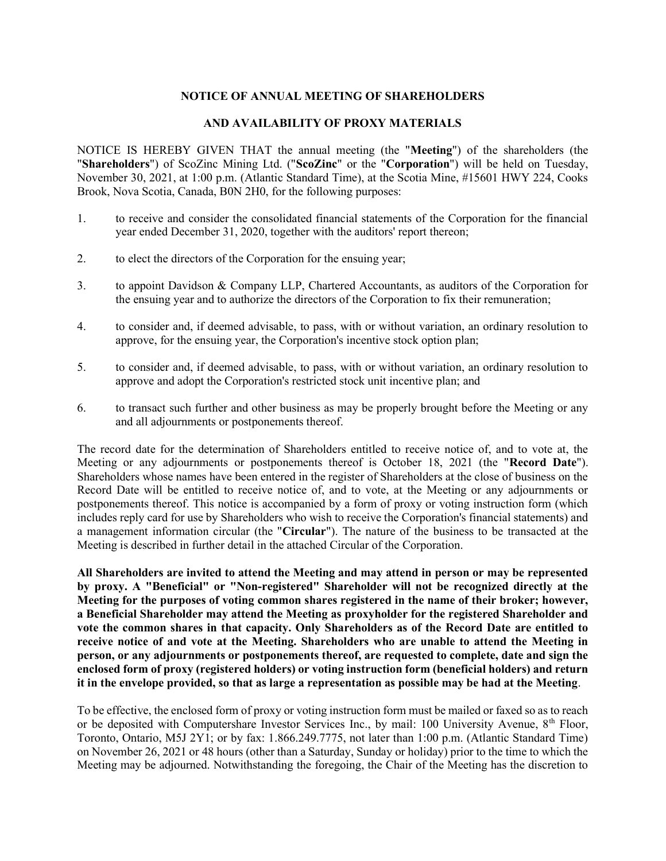## NOTICE OF ANNUAL MEETING OF SHAREHOLDERS

## AND AVAILABILITY OF PROXY MATERIALS

NOTICE IS HEREBY GIVEN THAT the annual meeting (the "Meeting") of the shareholders (the "Shareholders") of ScoZinc Mining Ltd. ("ScoZinc" or the "Corporation") will be held on Tuesday, November 30, 2021, at 1:00 p.m. (Atlantic Standard Time), at the Scotia Mine, #15601 HWY 224, Cooks Brook, Nova Scotia, Canada, B0N 2H0, for the following purposes:

- 1. to receive and consider the consolidated financial statements of the Corporation for the financial year ended December 31, 2020, together with the auditors' report thereon;
- 2. to elect the directors of the Corporation for the ensuing year;
- 3. to appoint Davidson & Company LLP, Chartered Accountants, as auditors of the Corporation for the ensuing year and to authorize the directors of the Corporation to fix their remuneration;
- 4. to consider and, if deemed advisable, to pass, with or without variation, an ordinary resolution to approve, for the ensuing year, the Corporation's incentive stock option plan;
- 5. to consider and, if deemed advisable, to pass, with or without variation, an ordinary resolution to approve and adopt the Corporation's restricted stock unit incentive plan; and
- 6. to transact such further and other business as may be properly brought before the Meeting or any and all adjournments or postponements thereof.

The record date for the determination of Shareholders entitled to receive notice of, and to vote at, the Meeting or any adjournments or postponements thereof is October 18, 2021 (the "Record Date"). Shareholders whose names have been entered in the register of Shareholders at the close of business on the Record Date will be entitled to receive notice of, and to vote, at the Meeting or any adjournments or postponements thereof. This notice is accompanied by a form of proxy or voting instruction form (which includes reply card for use by Shareholders who wish to receive the Corporation's financial statements) and a management information circular (the "Circular"). The nature of the business to be transacted at the Meeting is described in further detail in the attached Circular of the Corporation.

All Shareholders are invited to attend the Meeting and may attend in person or may be represented by proxy. A "Beneficial" or "Non-registered" Shareholder will not be recognized directly at the Meeting for the purposes of voting common shares registered in the name of their broker; however, a Beneficial Shareholder may attend the Meeting as proxyholder for the registered Shareholder and vote the common shares in that capacity. Only Shareholders as of the Record Date are entitled to receive notice of and vote at the Meeting. Shareholders who are unable to attend the Meeting in person, or any adjournments or postponements thereof, are requested to complete, date and sign the enclosed form of proxy (registered holders) or voting instruction form (beneficial holders) and return it in the envelope provided, so that as large a representation as possible may be had at the Meeting.

To be effective, the enclosed form of proxy or voting instruction form must be mailed or faxed so as to reach or be deposited with Computershare Investor Services Inc., by mail: 100 University Avenue, 8<sup>th</sup> Floor, Toronto, Ontario, M5J 2Y1; or by fax: 1.866.249.7775, not later than 1:00 p.m. (Atlantic Standard Time) on November 26, 2021 or 48 hours (other than a Saturday, Sunday or holiday) prior to the time to which the Meeting may be adjourned. Notwithstanding the foregoing, the Chair of the Meeting has the discretion to